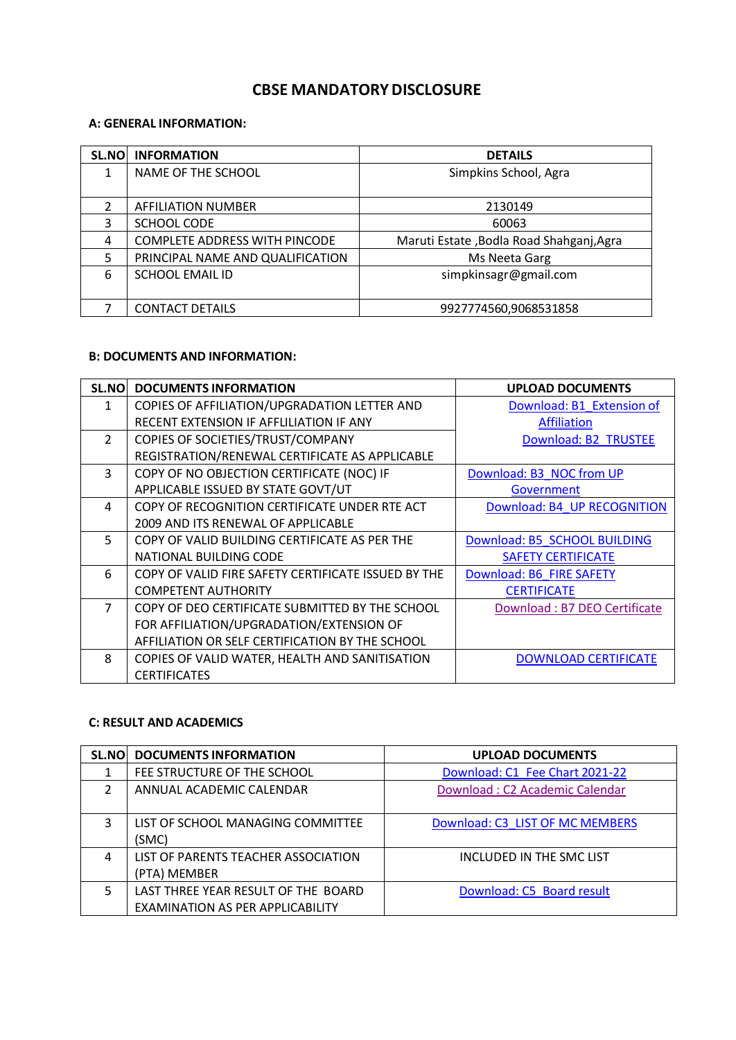# **CBSE MANDATORY DISCLOSURE**

### **A: GENERAL INFORMATION:**

| <b>SL.NO</b> | <b>INFORMATION</b>                   | <b>DETAILS</b>                           |
|--------------|--------------------------------------|------------------------------------------|
| 1            | NAME OF THE SCHOOL                   | Simpkins School, Agra                    |
|              |                                      |                                          |
| 2            | AFFILIATION NUMBER                   | 2130149                                  |
| 3            | SCHOOL CODE                          | 60063                                    |
| 4            | <b>COMPLETE ADDRESS WITH PINCODE</b> | Maruti Estate, Bodla Road Shahganj, Agra |
| 5            | PRINCIPAL NAME AND QUALIFICATION     | Ms Neeta Garg                            |
| 6            | <b>SCHOOL EMAIL ID</b>               | simpkinsagr@gmail.com                    |
|              |                                      |                                          |
|              | <b>CONTACT DETAILS</b>               | 9927774560,9068531858                    |

## **B: DOCUMENTS AND INFORMATION:**

| <b>SL.NO</b>   | <b>DOCUMENTS INFORMATION</b>                        | <b>UPLOAD DOCUMENTS</b>      |
|----------------|-----------------------------------------------------|------------------------------|
| 1              | COPIES OF AFFILIATION/UPGRADATION LETTER AND        | Download: B1 Extension of    |
|                | RECENT EXTENSION IF AFFLILIATION IF ANY             | <b>Affiliation</b>           |
| $\overline{2}$ | COPIES OF SOCIETIES/TRUST/COMPANY                   | Download: B2 TRUSTEE         |
|                | REGISTRATION/RENEWAL CERTIFICATE AS APPLICABLE      |                              |
| 3              | COPY OF NO OBJECTION CERTIFICATE (NOC) IF           | Download: B3 NOC from UP     |
|                | APPLICABLE ISSUED BY STATE GOVT/UT                  | Government                   |
| 4              | COPY OF RECOGNITION CERTIFICATE UNDER RTE ACT       | Download: B4 UP RECOGNITION  |
|                | 2009 AND ITS RENEWAL OF APPLICABLE                  |                              |
| 5              | COPY OF VALID BUILDING CERTIFICATE AS PER THE       | Download: B5 SCHOOL BUILDING |
|                | NATIONAL BUILDING CODE                              | <b>SAFETY CERTIFICATE</b>    |
| 6              | COPY OF VALID FIRE SAFETY CERTIFICATE ISSUED BY THE | Download: B6 FIRE SAFETY     |
|                | <b>COMPETENT AUTHORITY</b>                          | <b>CERTIFICATE</b>           |
| $\overline{7}$ | COPY OF DEO CERTIFICATE SUBMITTED BY THE SCHOOL     | Download: B7 DEO Certificate |
|                | FOR AFFILIATION/UPGRADATION/EXTENSION OF            |                              |
|                | AFFILIATION OR SELF CERTIFICATION BY THE SCHOOL     |                              |
| 8              | COPIES OF VALID WATER, HEALTH AND SANITISATION      | <b>DOWNLOAD CERTIFICATE</b>  |
|                | <b>CERTIFICATES</b>                                 |                              |

## **C: RESULT AND ACADEMICS**

| <b>SL.NO</b> | <b>DOCUMENTS INFORMATION</b>                                                   | <b>UPLOAD DOCUMENTS</b>         |
|--------------|--------------------------------------------------------------------------------|---------------------------------|
|              | FEE STRUCTURE OF THE SCHOOL                                                    | Download: C1 Fee Chart 2021-22  |
| C.           | ANNUAL ACADEMIC CALENDAR                                                       | Download: C2 Academic Calendar  |
| 3            | LIST OF SCHOOL MANAGING COMMITTEE<br>(SMC)                                     | Download: C3 LIST OF MC MEMBERS |
| 4            | LIST OF PARENTS TEACHER ASSOCIATION<br>(PTA) MEMBER                            | INCLUDED IN THE SMC LIST        |
| 5            | LAST THREE YEAR RESULT OF THE BOARD<br><b>EXAMINATION AS PER APPLICABILITY</b> | Download: C5 Board result       |